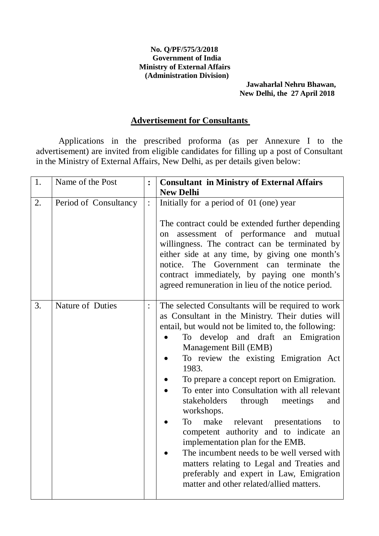#### **No. Q/PF/575/3/2018 Government of India Ministry of External Affairs (Administration Division)**

#### **Jawaharlal Nehru Bhawan, New Delhi, the 27 April 2018**

### **Advertisement for Consultants**

Applications in the prescribed proforma (as per Annexure I to the advertisement) are invited from eligible candidates for filling up a post of Consultant in the Ministry of External Affairs, New Delhi, as per details given below:

| 1. | Name of the Post      | $\ddot{\cdot}$ | <b>Consultant in Ministry of External Affairs</b><br><b>New Delhi</b>                                                                                                                                                                                                                                                                                                                                                                                                                                                                                                                                                                                                                                                                                   |  |  |
|----|-----------------------|----------------|---------------------------------------------------------------------------------------------------------------------------------------------------------------------------------------------------------------------------------------------------------------------------------------------------------------------------------------------------------------------------------------------------------------------------------------------------------------------------------------------------------------------------------------------------------------------------------------------------------------------------------------------------------------------------------------------------------------------------------------------------------|--|--|
| 2. | Period of Consultancy | $\ddot{\cdot}$ | Initially for a period of 01 (one) year<br>The contract could be extended further depending<br>assessment of performance<br>and mutual<br>on<br>willingness. The contract can be terminated by<br>either side at any time, by giving one month's<br>notice. The Government can terminate<br>the<br>contract immediately, by paying one month's<br>agreed remuneration in lieu of the notice period.                                                                                                                                                                                                                                                                                                                                                     |  |  |
| 3. | Nature of Duties      | $\ddot{\cdot}$ | The selected Consultants will be required to work<br>as Consultant in the Ministry. Their duties will<br>entail, but would not be limited to, the following:<br>develop and draft an Emigration<br>To<br>Management Bill (EMB)<br>To review the existing Emigration Act<br>1983.<br>To prepare a concept report on Emigration.<br>To enter into Consultation with all relevant<br>stakeholders<br>through<br>meetings<br>and<br>workshops.<br>make<br>relevant presentations<br>To<br>competent authority and to indicate<br>an<br>implementation plan for the EMB.<br>The incumbent needs to be well versed with<br>matters relating to Legal and Treaties and<br>preferably and expert in Law, Emigration<br>matter and other related/allied matters. |  |  |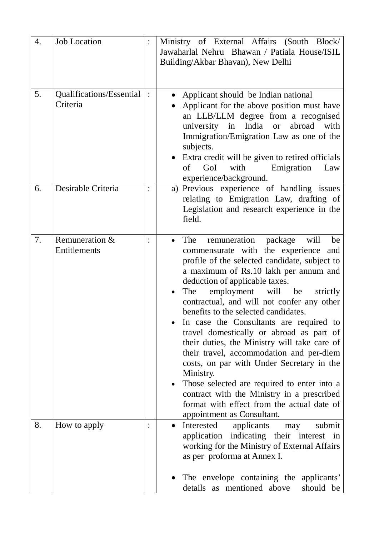| 4. | <b>Job Location</b>                  |                | Ministry of External Affairs<br>(South Block/<br>Jawaharlal Nehru Bhawan / Patiala House/ISIL<br>Building/Akbar Bhavan), New Delhi                                                                                                                                                                                                                                                                                                                                                                                                                                                                                                                                                                                                                                          |  |  |
|----|--------------------------------------|----------------|-----------------------------------------------------------------------------------------------------------------------------------------------------------------------------------------------------------------------------------------------------------------------------------------------------------------------------------------------------------------------------------------------------------------------------------------------------------------------------------------------------------------------------------------------------------------------------------------------------------------------------------------------------------------------------------------------------------------------------------------------------------------------------|--|--|
| 5. | Qualifications/Essential<br>Criteria | $\ddot{\cdot}$ | Applicant should be Indian national<br>Applicant for the above position must have<br>an LLB/LLM degree from a recognised<br>India<br>abroad<br>university<br>with<br>in<br><b>or</b><br>Immigration/Emigration Law as one of the<br>subjects.<br>Extra credit will be given to retired officials<br>with<br>GoI<br>Emigration<br>of<br>Law<br>experience/background.                                                                                                                                                                                                                                                                                                                                                                                                        |  |  |
| 6. | Desirable Criteria                   |                | a) Previous experience of handling issues<br>relating to Emigration Law, drafting of<br>Legislation and research experience in the<br>field.                                                                                                                                                                                                                                                                                                                                                                                                                                                                                                                                                                                                                                |  |  |
| 7. | Remuneration &<br>Entitlements       |                | remuneration<br>The<br>package<br>will<br>be<br>commensurate with the experience<br>and<br>profile of the selected candidate, subject to<br>a maximum of Rs.10 lakh per annum and<br>deduction of applicable taxes.<br>employment will<br>The<br>be<br>strictly<br>contractual, and will not confer any other<br>benefits to the selected candidates.<br>In case the Consultants are required to<br>travel domestically or abroad as part of<br>their duties, the Ministry will take care of<br>their travel, accommodation and per-diem<br>costs, on par with Under Secretary in the<br>Ministry.<br>Those selected are required to enter into a<br>contract with the Ministry in a prescribed<br>format with effect from the actual date of<br>appointment as Consultant. |  |  |
| 8. | How to apply                         |                | Interested<br>applicants<br>submit<br>may<br>$\bullet$<br>application indicating their interest in<br>working for the Ministry of External Affairs<br>as per proforma at Annex I.                                                                                                                                                                                                                                                                                                                                                                                                                                                                                                                                                                                           |  |  |
|    |                                      |                | The envelope containing the applicants'<br>details as mentioned above<br>should be                                                                                                                                                                                                                                                                                                                                                                                                                                                                                                                                                                                                                                                                                          |  |  |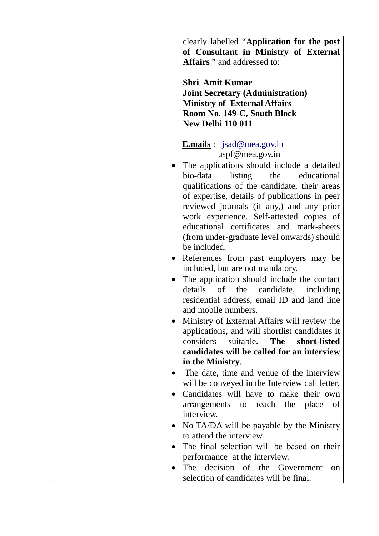| clearly labelled "Application for the post     |
|------------------------------------------------|
| of Consultant in Ministry of External          |
| <b>Affairs</b> " and addressed to:             |
|                                                |
| <b>Shri Amit Kumar</b>                         |
| <b>Joint Secretary (Administration)</b>        |
| <b>Ministry of External Affairs</b>            |
| Room No. 149-C, South Block                    |
| <b>New Delhi 110 011</b>                       |
|                                                |
| <b>E.mails</b> : $jsad@mea.gov.in$             |
| uspf@mea.gov.in                                |
| The applications should include a detailed     |
| bio-data<br>listing<br>the<br>educational      |
| qualifications of the candidate, their areas   |
| of expertise, details of publications in peer  |
| reviewed journals (if any,) and any prior      |
| work experience. Self-attested copies of       |
| educational certificates and mark-sheets       |
| (from under-graduate level onwards) should     |
| be included.                                   |
|                                                |
| References from past employers may be          |
| included, but are not mandatory.               |
| The application should include the contact     |
| details of the<br>candidate, including         |
| residential address, email ID and land line    |
| and mobile numbers.                            |
| Ministry of External Affairs will review the   |
| applications, and will shortlist candidates it |
| considers<br>The<br>short-listed<br>suitable.  |
| candidates will be called for an interview     |
| in the Ministry.                               |
| The date, time and venue of the interview      |
| will be conveyed in the Interview call letter. |
| Candidates will have to make their own         |
| arrangements to reach the<br>place<br>of       |
| interview.                                     |
| No TA/DA will be payable by the Ministry       |
| to attend the interview.                       |
| The final selection will be based on their     |
| performance at the interview.                  |
| The decision of the Government<br>on           |
| selection of candidates will be final.         |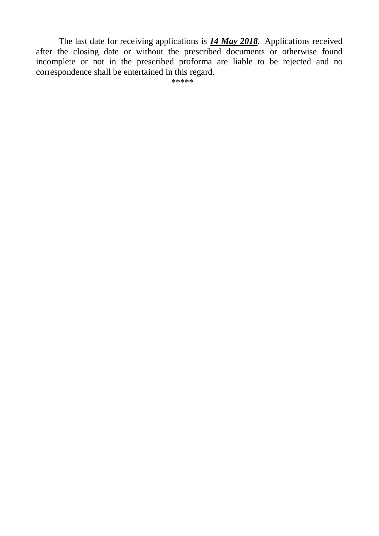The last date for receiving applications is *14 May 2018*. Applications received after the closing date or without the prescribed documents or otherwise found incomplete or not in the prescribed proforma are liable to be rejected and no correspondence shall be entertained in this regard.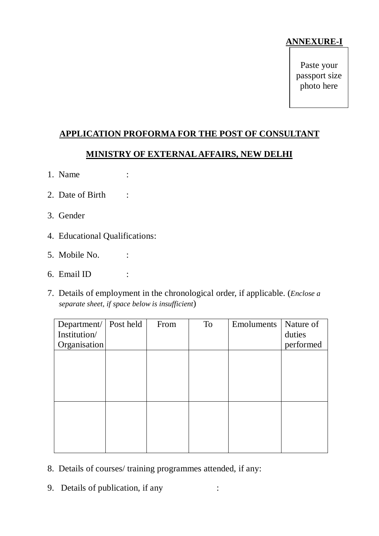## **ANNEXURE-I**

Paste your passport size photo here

# **APPLICATION PROFORMA FOR THE POST OF CONSULTANT**

### **MINISTRY OF EXTERNAL AFFAIRS, NEW DELHI**

- 1. Name :
- 2. Date of Birth :
- 3. Gender
- 4. Educational Qualifications:
- 5. Mobile No. :
- 6. Email ID :
- 7. Details of employment in the chronological order, if applicable. (*Enclose a separate sheet, if space below is insufficient*)

| Department/ Post held | From | To | Emoluments | Nature of |
|-----------------------|------|----|------------|-----------|
| Institution/          |      |    |            | duties    |
| Organisation          |      |    |            | performed |
|                       |      |    |            |           |
|                       |      |    |            |           |
|                       |      |    |            |           |
|                       |      |    |            |           |
|                       |      |    |            |           |
|                       |      |    |            |           |
|                       |      |    |            |           |
|                       |      |    |            |           |
|                       |      |    |            |           |
|                       |      |    |            |           |

- 8. Details of courses/ training programmes attended, if any:
- 9. Details of publication, if any :